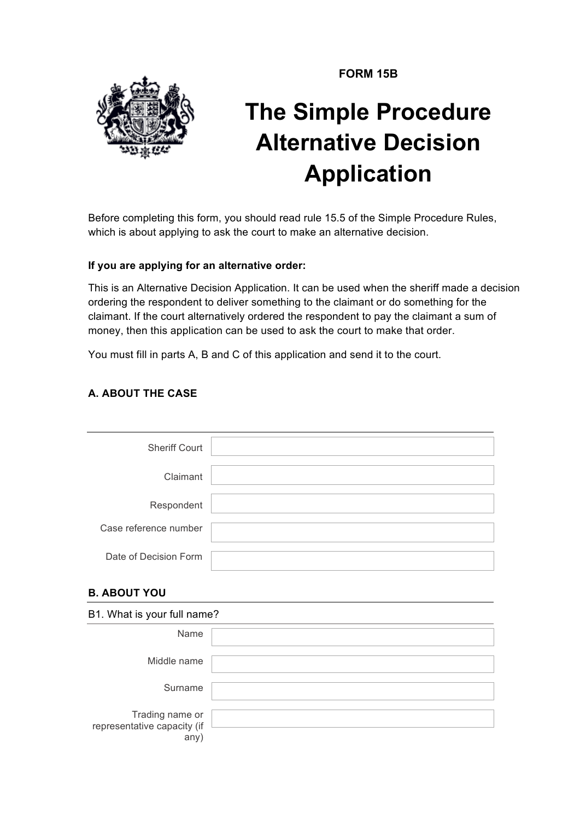**FORM 15B**



# **The Simple Procedure Alternative Decision Application**

Before completing this form, you should read rule 15.5 of the Simple Procedure Rules, which is about applying to ask the court to make an alternative decision.

## **If you are applying for an alternative order:**

This is an Alternative Decision Application. It can be used when the sheriff made a decision ordering the respondent to deliver something to the claimant or do something for the claimant. If the court alternatively ordered the respondent to pay the claimant a sum of money, then this application can be used to ask the court to make that order.

You must fill in parts A, B and C of this application and send it to the court.

# **A. ABOUT THE CASE**

| <b>Sheriff Court</b>  |  |
|-----------------------|--|
| Claimant              |  |
| Respondent            |  |
| Case reference number |  |
| Date of Decision Form |  |

# **B. ABOUT YOU**

| B1. What is your full name?                           |  |
|-------------------------------------------------------|--|
| Name                                                  |  |
| Middle name                                           |  |
| Surname                                               |  |
| Trading name or<br>representative capacity (if<br>any |  |